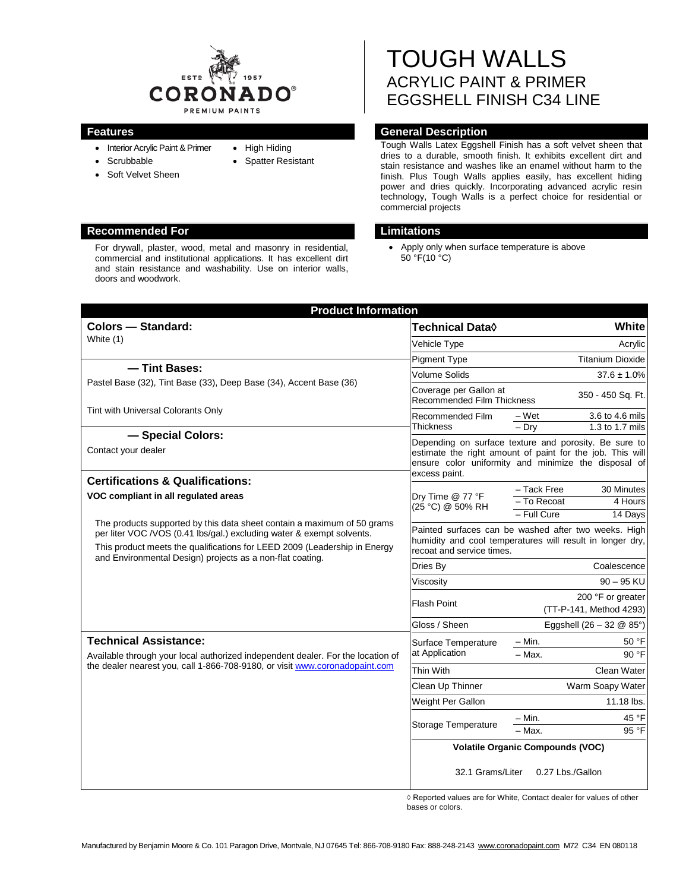

• High Hiding • Spatter Resistant

- Interior Acrylic Paint & Primer • Scrubbable
- 
- Soft Velvet Sheen
- **Recommended For Limitations**

For drywall, plaster, wood, metal and masonry in residential, commercial and institutional applications. It has excellent dirt and stain resistance and washability. Use on interior walls, doors and woodwork.

# TOUGH WALLS ACRYLIC PAINT & PRIMER EGGSHELL FINISH C34 LINE

# **Features General Description**

Tough Walls Latex Eggshell Finish has a soft velvet sheen that dries to a durable, smooth finish. It exhibits excellent dirt and stain resistance and washes like an enamel without harm to the finish. Plus Tough Walls applies easily, has excellent hiding power and dries quickly. Incorporating advanced acrylic resin technology, Tough Walls is a perfect choice for residential or commercial projects

• Apply only when surface temperature is above 50 °F(10 °C)

| <b>Product Information</b>                                                                                                                                                                                                                                                                                                         |                                                                                                                                                                                             |                                              |                                    |
|------------------------------------------------------------------------------------------------------------------------------------------------------------------------------------------------------------------------------------------------------------------------------------------------------------------------------------|---------------------------------------------------------------------------------------------------------------------------------------------------------------------------------------------|----------------------------------------------|------------------------------------|
| <b>Colors - Standard:</b>                                                                                                                                                                                                                                                                                                          | Technical Data◊                                                                                                                                                                             |                                              | <b>White</b>                       |
| White (1)                                                                                                                                                                                                                                                                                                                          | Vehicle Type                                                                                                                                                                                |                                              | Acrylic                            |
|                                                                                                                                                                                                                                                                                                                                    | <b>Pigment Type</b>                                                                                                                                                                         |                                              | <b>Titanium Dioxide</b>            |
| - Tint Bases:                                                                                                                                                                                                                                                                                                                      | Volume Solids                                                                                                                                                                               |                                              | $37.6 \pm 1.0\%$                   |
| Pastel Base (32), Tint Base (33), Deep Base (34), Accent Base (36)                                                                                                                                                                                                                                                                 | Coverage per Gallon at<br><b>Recommended Film Thickness</b>                                                                                                                                 |                                              | 350 - 450 Sq. Ft.                  |
| Tint with Universal Colorants Only                                                                                                                                                                                                                                                                                                 | Recommended Film                                                                                                                                                                            | – Wet                                        | 3.6 to 4.6 mils                    |
| - Special Colors:                                                                                                                                                                                                                                                                                                                  | <b>Thickness</b>                                                                                                                                                                            | $-$ Drv                                      | 1.3 to 1.7 mils                    |
| Contact your dealer                                                                                                                                                                                                                                                                                                                | Depending on surface texture and porosity. Be sure to<br>estimate the right amount of paint for the job. This will<br>ensure color uniformity and minimize the disposal of<br>excess paint. |                                              |                                    |
| <b>Certifications &amp; Qualifications:</b>                                                                                                                                                                                                                                                                                        | Dry Time @ 77 °F<br>(25 °C) @ 50% RH                                                                                                                                                        | - Tack Free                                  | 30 Minutes                         |
| VOC compliant in all regulated areas<br>The products supported by this data sheet contain a maximum of 50 grams<br>per liter VOC /VOS (0.41 lbs/gal.) excluding water & exempt solvents.<br>This product meets the qualifications for LEED 2009 (Leadership in Energy<br>and Environmental Design) projects as a non-flat coating. |                                                                                                                                                                                             | - To Recoat                                  | 4 Hours                            |
|                                                                                                                                                                                                                                                                                                                                    |                                                                                                                                                                                             | - Full Cure                                  | 14 Days                            |
|                                                                                                                                                                                                                                                                                                                                    | Painted surfaces can be washed after two weeks. High<br>humidity and cool temperatures will result in longer dry,<br>recoat and service times.                                              |                                              |                                    |
|                                                                                                                                                                                                                                                                                                                                    | Dries By                                                                                                                                                                                    |                                              | Coalescence                        |
|                                                                                                                                                                                                                                                                                                                                    | Viscosity                                                                                                                                                                                   |                                              | $90 - 95$ KU                       |
|                                                                                                                                                                                                                                                                                                                                    | <b>Flash Point</b>                                                                                                                                                                          | 200 °F or greater<br>(TT-P-141, Method 4293) |                                    |
|                                                                                                                                                                                                                                                                                                                                    | Gloss / Sheen                                                                                                                                                                               |                                              | Eggshell $(26 - 32 \& 85^{\circ})$ |
| <b>Technical Assistance:</b><br>Available through your local authorized independent dealer. For the location of<br>the dealer nearest you, call 1-866-708-9180, or visit www.coronadopaint.com                                                                                                                                     | Surface Temperature<br>at Application                                                                                                                                                       | - Min.                                       | 50 °F                              |
|                                                                                                                                                                                                                                                                                                                                    |                                                                                                                                                                                             | $-$ Max.                                     | 90 °F                              |
|                                                                                                                                                                                                                                                                                                                                    | <b>Thin With</b>                                                                                                                                                                            |                                              | Clean Water                        |
|                                                                                                                                                                                                                                                                                                                                    | Clean Up Thinner                                                                                                                                                                            | Warm Soapy Water                             |                                    |
|                                                                                                                                                                                                                                                                                                                                    | Weight Per Gallon                                                                                                                                                                           |                                              | 11.18 lbs.                         |
|                                                                                                                                                                                                                                                                                                                                    | <b>Storage Temperature</b>                                                                                                                                                                  | – Min.                                       | 45 °F                              |
|                                                                                                                                                                                                                                                                                                                                    |                                                                                                                                                                                             | $-$ Max.                                     | 95 °F                              |
|                                                                                                                                                                                                                                                                                                                                    | <b>Volatile Organic Compounds (VOC)</b><br>32.1 Grams/Liter<br>0.27 Lbs./Gallon                                                                                                             |                                              |                                    |

◊ Reported values are for White, Contact dealer for values of other bases or colors.